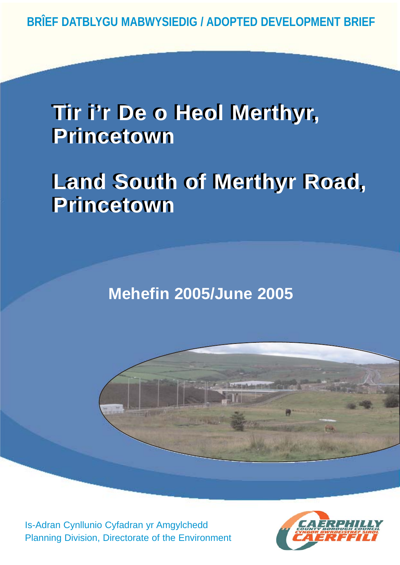## **Tir i'r De o Heol Merthyr, Tir i'r De o Heol Merthyr, Princetown Princetown**

# **Land South of Merthyr Road, Land South of Merthyr Road, Princetown Princetown**

**Mehefin 2005/June 2005**



Is-Adran Cynllunio Cyfadran yr Amgylchedd Planning Division, Directorate of the Environment

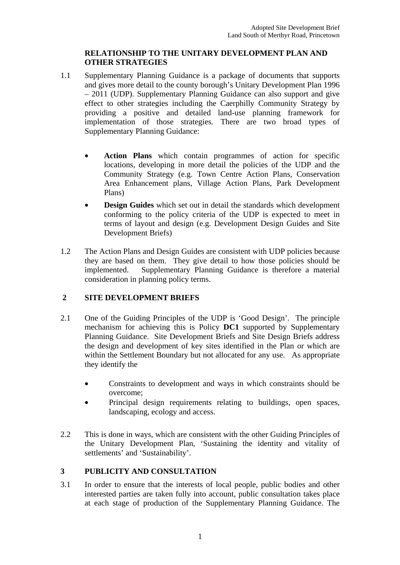## **RELATIONSHIP TO THE UNITARY DEVELOPMENT PLAN AND OTHER STRATEGIES**

- 1.1 Supplementary Planning Guidance is a package of documents that supports and gives more detail to the county borough's Unitary Development Plan 1996 – 2011 (UDP). Supplementary Planning Guidance can also support and give effect to other strategies including the Caerphilly Community Strategy by providing a positive and detailed land-use planning framework for implementation of those strategies. There are two broad types of Supplementary Planning Guidance:
	- **Action Plans** which contain programmes of action for specific locations, developing in more detail the policies of the UDP and the Community Strategy (e.g. Town Centre Action Plans, Conservation Area Enhancement plans, Village Action Plans, Park Development Plans)
	- **Design Guides** which set out in detail the standards which development conforming to the policy criteria of the UDP is expected to meet in terms of layout and design (e.g. Development Design Guides and Site Development Briefs)
- 1.2 The Action Plans and Design Guides are consistent with UDP policies because they are based on them. They give detail to how those policies should be implemented. Supplementary Planning Guidance is therefore a material consideration in planning policy terms.

## **2 SITE DEVELOPMENT BRIEFS**

- 2.1 One of the Guiding Principles of the UDP is 'Good Design'. The principle mechanism for achieving this is Policy **DC1** supported by Supplementary Planning Guidance. Site Development Briefs and Site Design Briefs address the design and development of key sites identified in the Plan or which are within the Settlement Boundary but not allocated for any use. As appropriate they identify the
	- Constraints to development and ways in which constraints should be overcome;
	- Principal design requirements relating to buildings, open spaces, landscaping, ecology and access.
- 2.2 This is done in ways, which are consistent with the other Guiding Principles of the Unitary Development Plan, 'Sustaining the identity and vitality of settlements' and 'Sustainability'.

## **3 PUBLICITY AND CONSULTATION**

3.1 In order to ensure that the interests of local people, public bodies and other interested parties are taken fully into account, public consultation takes place at each stage of production of the Supplementary Planning Guidance. The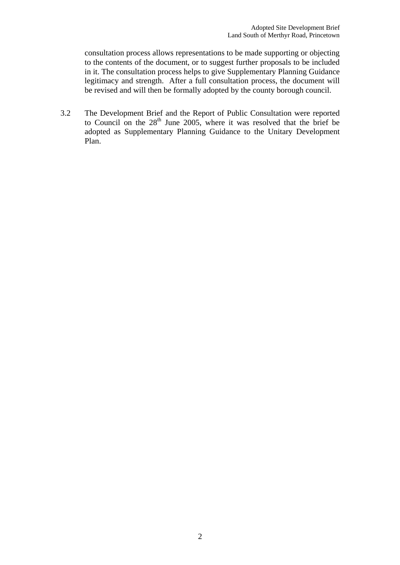consultation process allows representations to be made supporting or objecting to the contents of the document, or to suggest further proposals to be included in it. The consultation process helps to give Supplementary Planning Guidance legitimacy and strength. After a full consultation process, the document will be revised and will then be formally adopted by the county borough council.

3.2 The Development Brief and the Report of Public Consultation were reported to Council on the  $28<sup>th</sup>$  June 2005, where it was resolved that the brief be adopted as Supplementary Planning Guidance to the Unitary Development Plan.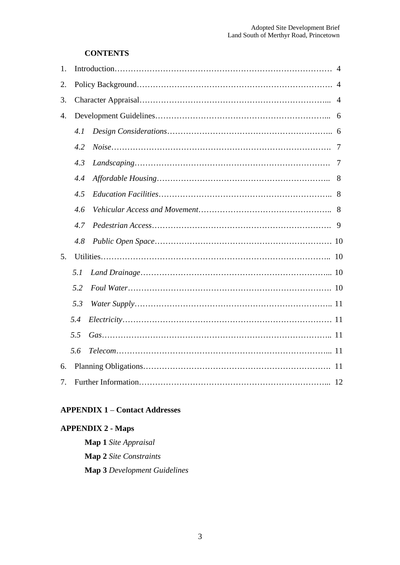## **CONTENTS**

| 1.               |     |  |                |
|------------------|-----|--|----------------|
| 2.               |     |  |                |
| 3.               |     |  | $\overline{4}$ |
| $\overline{4}$ . |     |  |                |
|                  | 4.1 |  |                |
|                  | 4.2 |  | 7              |
|                  | 4.3 |  | 7              |
|                  | 4.4 |  | 8              |
|                  | 4.5 |  | 8              |
|                  | 4.6 |  |                |
|                  | 4.7 |  | 9              |
|                  | 4.8 |  |                |
| 5.               |     |  |                |
|                  | 5.1 |  |                |
|                  | 5.2 |  |                |
|                  | 5.3 |  |                |
|                  | 5.4 |  |                |
|                  | 5.5 |  |                |
|                  | 5.6 |  |                |
| 6.               |     |  |                |
| 7.               |     |  |                |

## **APPENDIX 1** – **Contact Addresses**

## **APPENDIX 2 - Maps**

**Map 1** *Site Appraisal* **Map 2** *Site Constraints* **Map 3** *Development Guidelines*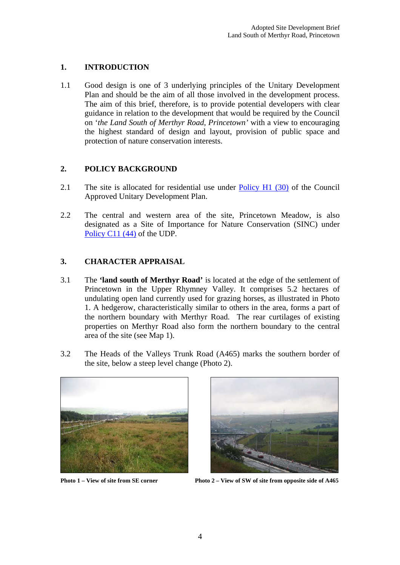## **1. INTRODUCTION**

1.1 Good design is one of 3 underlying principles of the Unitary Development Plan and should be the aim of all those involved in the development process. The aim of this brief, therefore, is to provide potential developers with clear guidance in relation to the development that would be required by the Council on '*the Land South of Merthyr Road, Princetown'* with a view to encouraging the highest standard of design and layout, provision of public space and protection of nature conservation interests.

## **2. POLICY BACKGROUND**

- 2.1 The site is allocated for residential use under Policy H1 (30) of the Council Approved Unitary Development Plan.
- 2.2 The central and western area of the site, Princetown Meadow, is also designated as a Site of Importance for Nature Conservation (SINC) under Policy C11 (44) of the UDP.

## **3. CHARACTER APPRAISAL**

- 3.1 The **'land south of Merthyr Road'** is located at the edge of the settlement of Princetown in the Upper Rhymney Valley. It comprises 5.2 hectares of undulating open land currently used for grazing horses, as illustrated in Photo 1. A hedgerow, characteristically similar to others in the area, forms a part of the northern boundary with Merthyr Road. The rear curtilages of existing properties on Merthyr Road also form the northern boundary to the central area of the site (see Map 1).
- 3.2 The Heads of the Valleys Trunk Road (A465) marks the southern border of the site, below a steep level change (Photo 2).





**Photo 1 – View of site from SE corner Photo 2 – View of SW of site from opposite side of A465**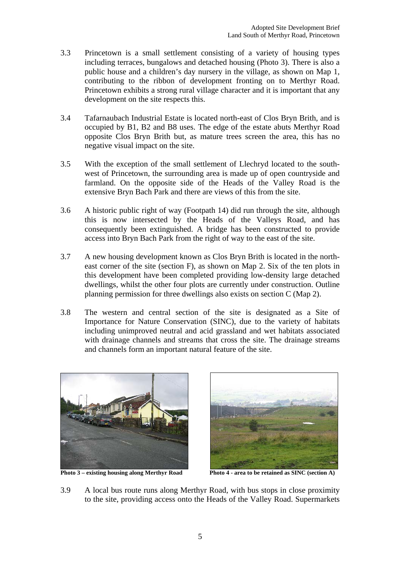- 3.3 Princetown is a small settlement consisting of a variety of housing types including terraces, bungalows and detached housing (Photo 3). There is also a public house and a children's day nursery in the village, as shown on Map 1, contributing to the ribbon of development fronting on to Merthyr Road. Princetown exhibits a strong rural village character and it is important that any development on the site respects this.
- 3.4 Tafarnaubach Industrial Estate is located north-east of Clos Bryn Brith, and is occupied by B1, B2 and B8 uses. The edge of the estate abuts Merthyr Road opposite Clos Bryn Brith but, as mature trees screen the area, this has no negative visual impact on the site.
- 3.5 With the exception of the small settlement of Llechryd located to the southwest of Princetown, the surrounding area is made up of open countryside and farmland. On the opposite side of the Heads of the Valley Road is the extensive Bryn Bach Park and there are views of this from the site.
- 3.6 A historic public right of way (Footpath 14) did run through the site, although this is now intersected by the Heads of the Valleys Road, and has consequently been extinguished. A bridge has been constructed to provide access into Bryn Bach Park from the right of way to the east of the site.
- 3.7 A new housing development known as Clos Bryn Brith is located in the northeast corner of the site (section F), as shown on Map 2. Six of the ten plots in this development have been completed providing low-density large detached dwellings, whilst the other four plots are currently under construction. Outline planning permission for three dwellings also exists on section C (Map 2).
- 3.8 The western and central section of the site is designated as a Site of Importance for Nature Conservation (SINC), due to the variety of habitats including unimproved neutral and acid grassland and wet habitats associated with drainage channels and streams that cross the site. The drainage streams and channels form an important natural feature of the site.



Photo 3 – existing housing along Merthyr Road Photo 4 - area to be retained as SINC (section A)



3.9 A local bus route runs along Merthyr Road, with bus stops in close proximity to the site, providing access onto the Heads of the Valley Road. Supermarkets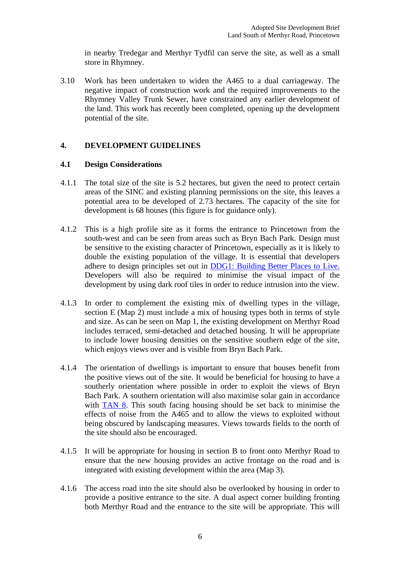in nearby Tredegar and Merthyr Tydfil can serve the site, as well as a small store in Rhymney.

3.10 Work has been undertaken to widen the A465 to a dual carriageway. The negative impact of construction work and the required improvements to the Rhymney Valley Trunk Sewer, have constrained any earlier development of the land. This work has recently been completed, opening up the development potential of the site.

## **4. DEVELOPMENT GUIDELINES**

#### **4.1 Design Considerations**

- 4.1.1 The total size of the site is 5.2 hectares, but given the need to protect certain areas of the SINC and existing planning permissions on the site, this leaves a potential area to be developed of 2.73 hectares. The capacity of the site for development is 68 houses (this figure is for guidance only).
- 4.1.2 This is a high profile site as it forms the entrance to Princetown from the south-west and can be seen from areas such as Bryn Bach Park. Design must be sensitive to the existing character of Princetown, especially as it is likely to double the existing population of the village. It is essential that developers adhere to design principles set out in DDG1: Building Better Places to Live. Developers will also be required to minimise the visual impact of the development by using dark roof tiles in order to reduce intrusion into the view.
- 4.1.3 In order to complement the existing mix of dwelling types in the village, section E (Map 2) must include a mix of housing types both in terms of style and size. As can be seen on Map 1, the existing development on Merthyr Road includes terraced, semi-detached and detached housing. It will be appropriate to include lower housing densities on the sensitive southern edge of the site, which enjoys views over and is visible from Bryn Bach Park.
- 4.1.4 The orientation of dwellings is important to ensure that houses benefit from the positive views out of the site. It would be beneficial for housing to have a southerly orientation where possible in order to exploit the views of Bryn Bach Park. A southern orientation will also maximise solar gain in accordance with TAN 8. This south facing housing should be set back to minimise the effects of noise from the A465 and to allow the views to exploited without being obscured by landscaping measures. Views towards fields to the north of the site should also be encouraged.
- 4.1.5 It will be appropriate for housing in section B to front onto Merthyr Road to ensure that the new housing provides an active frontage on the road and is integrated with existing development within the area (Map 3).
- 4.1.6 The access road into the site should also be overlooked by housing in order to provide a positive entrance to the site. A dual aspect corner building fronting both Merthyr Road and the entrance to the site will be appropriate. This will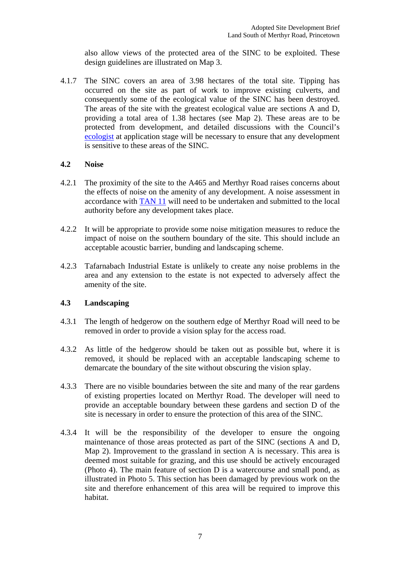also allow views of the protected area of the SINC to be exploited. These design guidelines are illustrated on Map 3.

4.1.7 The SINC covers an area of 3.98 hectares of the total site. Tipping has occurred on the site as part of work to improve existing culverts, and consequently some of the ecological value of the SINC has been destroyed. The areas of the site with the greatest ecological value are sections A and D, providing a total area of 1.38 hectares (see Map 2). These areas are to be protected from development, and detailed discussions with the Council's ecologist at application stage will be necessary to ensure that any development is sensitive to these areas of the SINC.

#### **4.2 Noise**

- 4.2.1 The proximity of the site to the A465 and Merthyr Road raises concerns about the effects of noise on the amenity of any development. A noise assessment in accordance with TAN 11 will need to be undertaken and submitted to the local authority before any development takes place.
- 4.2.2 It will be appropriate to provide some noise mitigation measures to reduce the impact of noise on the southern boundary of the site. This should include an acceptable acoustic barrier, bunding and landscaping scheme.
- 4.2.3 Tafarnabach Industrial Estate is unlikely to create any noise problems in the area and any extension to the estate is not expected to adversely affect the amenity of the site.

## **4.3 Landscaping**

- 4.3.1 The length of hedgerow on the southern edge of Merthyr Road will need to be removed in order to provide a vision splay for the access road.
- 4.3.2 As little of the hedgerow should be taken out as possible but, where it is removed, it should be replaced with an acceptable landscaping scheme to demarcate the boundary of the site without obscuring the vision splay.
- 4.3.3 There are no visible boundaries between the site and many of the rear gardens of existing properties located on Merthyr Road. The developer will need to provide an acceptable boundary between these gardens and section D of the site is necessary in order to ensure the protection of this area of the SINC.
- 4.3.4 It will be the responsibility of the developer to ensure the ongoing maintenance of those areas protected as part of the SINC (sections A and D, Map 2). Improvement to the grassland in section A is necessary. This area is deemed most suitable for grazing, and this use should be actively encouraged (Photo 4). The main feature of section D is a watercourse and small pond, as illustrated in Photo 5. This section has been damaged by previous work on the site and therefore enhancement of this area will be required to improve this habitat.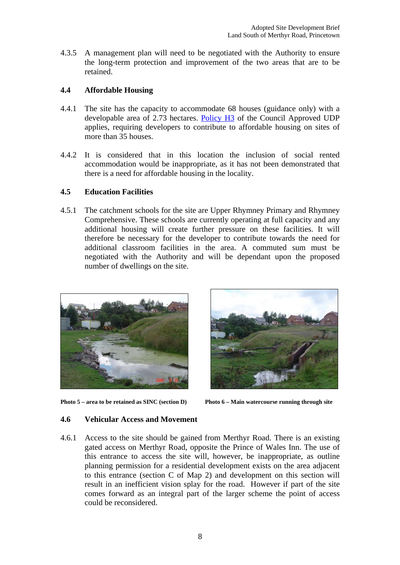4.3.5 A management plan will need to be negotiated with the Authority to ensure the long-term protection and improvement of the two areas that are to be retained.

## **4.4 Affordable Housing**

- 4.4.1 The site has the capacity to accommodate 68 houses (guidance only) with a developable area of 2.73 hectares. Policy H3 of the Council Approved UDP applies, requiring developers to contribute to affordable housing on sites of more than 35 houses.
- 4.4.2 It is considered that in this location the inclusion of social rented accommodation would be inappropriate, as it has not been demonstrated that there is a need for affordable housing in the locality.

## **4.5 Education Facilities**

4.5.1 The catchment schools for the site are Upper Rhymney Primary and Rhymney Comprehensive. These schools are currently operating at full capacity and any additional housing will create further pressure on these facilities. It will therefore be necessary for the developer to contribute towards the need for additional classroom facilities in the area. A commuted sum must be negotiated with the Authority and will be dependant upon the proposed number of dwellings on the site.



**Photo 5 – area to be retained as SINC (section D) Photo 6 – Main watercourse running through site** 



## **4.6 Vehicular Access and Movement**

4.6.1 Access to the site should be gained from Merthyr Road. There is an existing gated access on Merthyr Road, opposite the Prince of Wales Inn. The use of this entrance to access the site will, however, be inappropriate, as outline planning permission for a residential development exists on the area adjacent to this entrance (section C of Map 2) and development on this section will result in an inefficient vision splay for the road. However if part of the site comes forward as an integral part of the larger scheme the point of access could be reconsidered.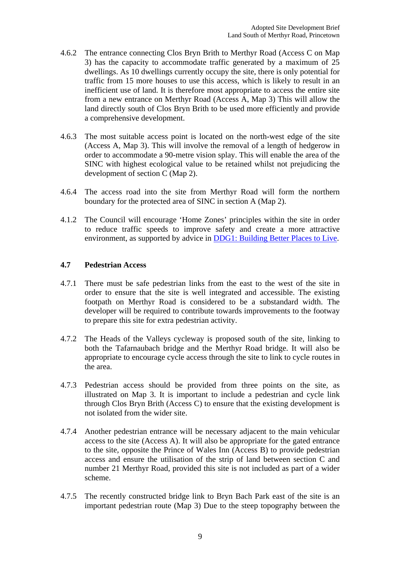- 4.6.2 The entrance connecting Clos Bryn Brith to Merthyr Road (Access C on Map 3) has the capacity to accommodate traffic generated by a maximum of 25 dwellings. As 10 dwellings currently occupy the site, there is only potential for traffic from 15 more houses to use this access, which is likely to result in an inefficient use of land. It is therefore most appropriate to access the entire site from a new entrance on Merthyr Road (Access A, Map 3) This will allow the land directly south of Clos Bryn Brith to be used more efficiently and provide a comprehensive development.
- 4.6.3 The most suitable access point is located on the north-west edge of the site (Access A, Map 3). This will involve the removal of a length of hedgerow in order to accommodate a 90-metre vision splay. This will enable the area of the SINC with highest ecological value to be retained whilst not prejudicing the development of section C (Map 2).
- 4.6.4 The access road into the site from Merthyr Road will form the northern boundary for the protected area of SINC in section A (Map 2).
- 4.1.2 The Council will encourage 'Home Zones' principles within the site in order to reduce traffic speeds to improve safety and create a more attractive environment, as supported by advice in DDG1: Building Better Places to Live.

#### **4.7 Pedestrian Access**

- 4.7.1 There must be safe pedestrian links from the east to the west of the site in order to ensure that the site is well integrated and accessible. The existing footpath on Merthyr Road is considered to be a substandard width. The developer will be required to contribute towards improvements to the footway to prepare this site for extra pedestrian activity.
- 4.7.2 The Heads of the Valleys cycleway is proposed south of the site, linking to both the Tafarnaubach bridge and the Merthyr Road bridge. It will also be appropriate to encourage cycle access through the site to link to cycle routes in the area.
- 4.7.3 Pedestrian access should be provided from three points on the site, as illustrated on Map 3. It is important to include a pedestrian and cycle link through Clos Bryn Brith (Access C) to ensure that the existing development is not isolated from the wider site.
- 4.7.4 Another pedestrian entrance will be necessary adjacent to the main vehicular access to the site (Access A). It will also be appropriate for the gated entrance to the site, opposite the Prince of Wales Inn (Access B) to provide pedestrian access and ensure the utilisation of the strip of land between section C and number 21 Merthyr Road, provided this site is not included as part of a wider scheme.
- 4.7.5 The recently constructed bridge link to Bryn Bach Park east of the site is an important pedestrian route (Map 3) Due to the steep topography between the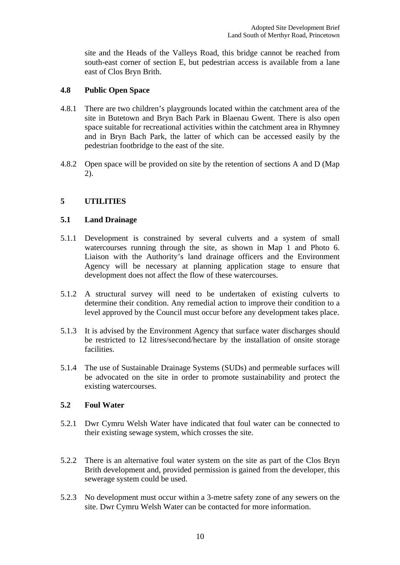site and the Heads of the Valleys Road, this bridge cannot be reached from south-east corner of section E, but pedestrian access is available from a lane east of Clos Bryn Brith.

#### **4.8 Public Open Space**

- 4.8.1 There are two children's playgrounds located within the catchment area of the site in Butetown and Bryn Bach Park in Blaenau Gwent. There is also open space suitable for recreational activities within the catchment area in Rhymney and in Bryn Bach Park, the latter of which can be accessed easily by the pedestrian footbridge to the east of the site.
- 4.8.2 Open space will be provided on site by the retention of sections A and D (Map 2).

## **5 UTILITIES**

#### **5.1 Land Drainage**

- 5.1.1 Development is constrained by several culverts and a system of small watercourses running through the site, as shown in Map 1 and Photo 6. Liaison with the Authority's land drainage officers and the Environment Agency will be necessary at planning application stage to ensure that development does not affect the flow of these watercourses.
- 5.1.2 A structural survey will need to be undertaken of existing culverts to determine their condition. Any remedial action to improve their condition to a level approved by the Council must occur before any development takes place.
- 5.1.3 It is advised by the Environment Agency that surface water discharges should be restricted to 12 litres/second/hectare by the installation of onsite storage facilities.
- 5.1.4 The use of Sustainable Drainage Systems (SUDs) and permeable surfaces will be advocated on the site in order to promote sustainability and protect the existing watercourses.

## **5.2 Foul Water**

- 5.2.1 Dwr Cymru Welsh Water have indicated that foul water can be connected to their existing sewage system, which crosses the site.
- 5.2.2 There is an alternative foul water system on the site as part of the Clos Bryn Brith development and, provided permission is gained from the developer, this sewerage system could be used.
- 5.2.3 No development must occur within a 3-metre safety zone of any sewers on the site. Dwr Cymru Welsh Water can be contacted for more information.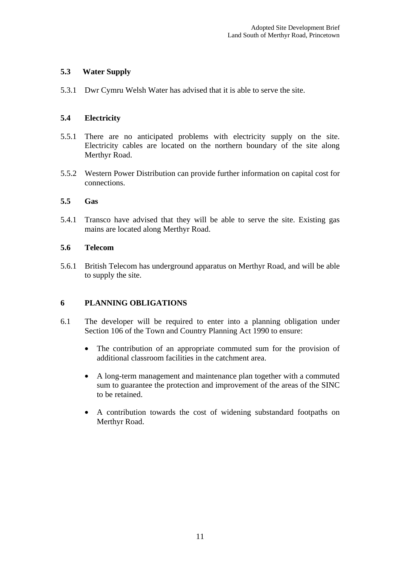## **5.3 Water Supply**

5.3.1 Dwr Cymru Welsh Water has advised that it is able to serve the site.

## **5.4 Electricity**

- 5.5.1 There are no anticipated problems with electricity supply on the site. Electricity cables are located on the northern boundary of the site along Merthyr Road.
- 5.5.2 Western Power Distribution can provide further information on capital cost for connections.

## **5.5 Gas**

5.4.1 Transco have advised that they will be able to serve the site. Existing gas mains are located along Merthyr Road.

## **5.6 Telecom**

5.6.1 British Telecom has underground apparatus on Merthyr Road, and will be able to supply the site.

## **6 PLANNING OBLIGATIONS**

- 6.1 The developer will be required to enter into a planning obligation under Section 106 of the Town and Country Planning Act 1990 to ensure:
	- The contribution of an appropriate commuted sum for the provision of additional classroom facilities in the catchment area.
	- A long-term management and maintenance plan together with a commuted sum to guarantee the protection and improvement of the areas of the SINC to be retained.
	- A contribution towards the cost of widening substandard footpaths on Merthyr Road.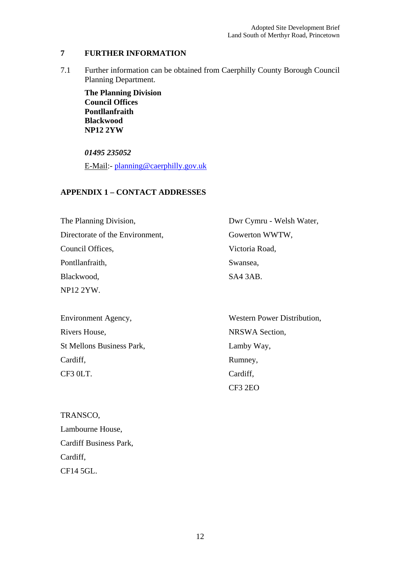## **7 FURTHER INFORMATION**

7.1 Further information can be obtained from Caerphilly County Borough Council Planning Department.

**The Planning Division Council Offices Pontllanfraith Blackwood NP12 2YW** 

*01495 235052* E-Mail:- planning@caerphilly.gov.uk

## **APPENDIX 1 – CONTACT ADDRESSES**

The Planning Division, Directorate of the Environment, Council Offices, Pontllanfraith, Blackwood, NP12 2YW. Dwr Cymru - Welsh Water, Gowerton WWTW, Victoria Road, Swansea, SA4 3AB.

Environment Agency, Rivers House, St Mellons Business Park, Cardiff, CF3 0LT.

TRANSCO, Lambourne House, Cardiff Business Park, Cardiff, CF14 5GL.

Western Power Distribution, NRSWA Section, Lamby Way, Rumney, Cardiff, CF3 2EO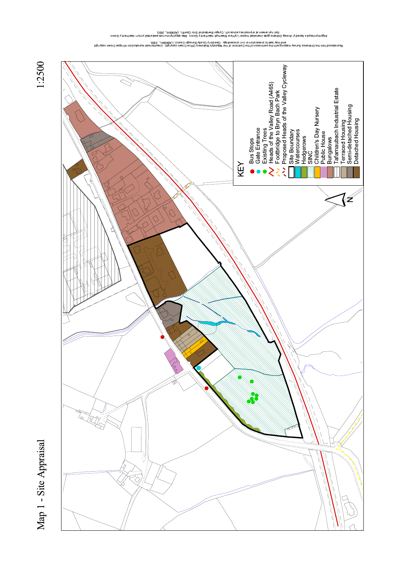

1:2500

ono a filis idway is by when is chick who mass is here in the propose on the sequing for the condingity of our<br>Const the Depth of the particle of the sellar when the produce in the pose that is a form in the pollotr. Song

an tipiyya balan belangan bela dikasar bela dikasan dikasan bela pela mana bela masha bala droma mengi Langga,<br>Hela dia bela dikasar dikasar dikasar dikasar dikasan dikasan dikasan dikisah diman dabila membela dibangan da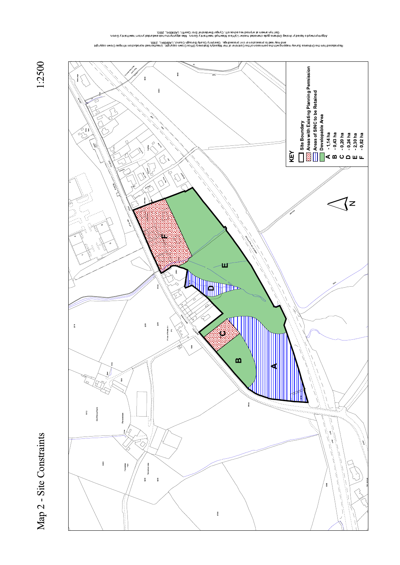

1:2500

Agona the Alman photospheric particle and the Alman is the Almand is a study also the addition be beinding to h<br>Cons (the Development of the Social Almand Development Development of the Social Almand of the Social Almand A

and pies word het belengte was eigen being deut of Her Majesty's Stationary Office Crown oopyright. Dinablish county and perceding the Majesty's Dinablity Countly Office Crown copyright. Dinablish construction interprotein